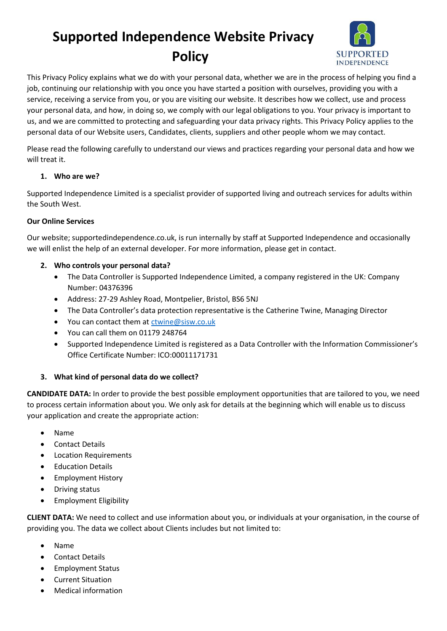# **Supported Independence Website Privacy Policy**



This Privacy Policy explains what we do with your personal data, whether we are in the process of helping you find a job, continuing our relationship with you once you have started a position with ourselves, providing you with a service, receiving a service from you, or you are visiting our website. It describes how we collect, use and process your personal data, and how, in doing so, we comply with our legal obligations to you. Your privacy is important to us, and we are committed to protecting and safeguarding your data privacy rights. This Privacy Policy applies to the personal data of our Website users, Candidates, clients, suppliers and other people whom we may contact.

Please read the following carefully to understand our views and practices regarding your personal data and how we will treat it.

## **1. Who are we?**

Supported Independence Limited is a specialist provider of supported living and outreach services for adults within the South West.

## **Our Online Services**

Our website; supportedindependence.co.uk, is run internally by staff at Supported Independence and occasionally we will enlist the help of an external developer. For more information, please get in contact.

## **2. Who controls your personal data?**

- The Data Controller is Supported Independence Limited, a company registered in the UK: Company Number: 04376396
- Address: 27-29 Ashley Road, Montpelier, Bristol, BS6 5NJ
- The Data Controller's data protection representative is the Catherine Twine, Managing Director
- You can contact them at [ctwine@sisw.co.uk](mailto:ctwine@sisw.co.uk)
- You can call them on 01179 248764
- Supported Independence Limited is registered as a Data Controller with the Information Commissioner's Office Certificate Number: ICO:00011171731

## **3. What kind of personal data do we collect?**

**CANDIDATE DATA:** In order to provide the best possible employment opportunities that are tailored to you, we need to process certain information about you. We only ask for details at the beginning which will enable us to discuss your application and create the appropriate action:

- Name
- Contact Details
- Location Requirements
- Education Details
- Employment History
- Driving status
- Employment Eligibility

**CLIENT DATA:** We need to collect and use information about you, or individuals at your organisation, in the course of providing you. The data we collect about Clients includes but not limited to:

- Name
- Contact Details
- Employment Status
- Current Situation
- Medical information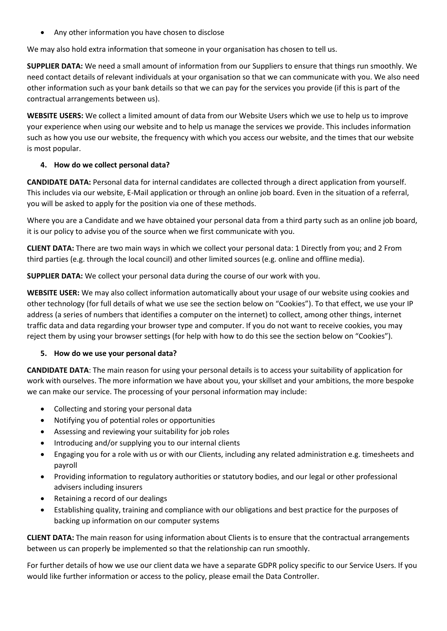• Any other information you have chosen to disclose

We may also hold extra information that someone in your organisation has chosen to tell us.

**SUPPLIER DATA:** We need a small amount of information from our Suppliers to ensure that things run smoothly. We need contact details of relevant individuals at your organisation so that we can communicate with you. We also need other information such as your bank details so that we can pay for the services you provide (if this is part of the contractual arrangements between us).

**WEBSITE USERS:** We collect a limited amount of data from our Website Users which we use to help us to improve your experience when using our website and to help us manage the services we provide. This includes information such as how you use our website, the frequency with which you access our website, and the times that our website is most popular.

## **4. How do we collect personal data?**

**CANDIDATE DATA:** Personal data for internal candidates are collected through a direct application from yourself. This includes via our website, E-Mail application or through an online job board. Even in the situation of a referral, you will be asked to apply for the position via one of these methods.

Where you are a Candidate and we have obtained your personal data from a third party such as an online job board, it is our policy to advise you of the source when we first communicate with you.

**CLIENT DATA:** There are two main ways in which we collect your personal data: 1 Directly from you; and 2 From third parties (e.g. through the local council) and other limited sources (e.g. online and offline media).

**SUPPLIER DATA:** We collect your personal data during the course of our work with you.

**WEBSITE USER:** We may also collect information automatically about your usage of our website using cookies and other technology (for full details of what we use see the section below on "Cookies"). To that effect, we use your IP address (a series of numbers that identifies a computer on the internet) to collect, among other things, internet traffic data and data regarding your browser type and computer. If you do not want to receive cookies, you may reject them by using your browser settings (for help with how to do this see the section below on "Cookies").

#### **5. How do we use your personal data?**

**CANDIDATE DATA**: The main reason for using your personal details is to access your suitability of application for work with ourselves. The more information we have about you, your skillset and your ambitions, the more bespoke we can make our service. The processing of your personal information may include:

- Collecting and storing your personal data
- Notifying you of potential roles or opportunities
- Assessing and reviewing your suitability for job roles
- Introducing and/or supplying you to our internal clients
- Engaging you for a role with us or with our Clients, including any related administration e.g. timesheets and payroll
- Providing information to regulatory authorities or statutory bodies, and our legal or other professional advisers including insurers
- Retaining a record of our dealings
- Establishing quality, training and compliance with our obligations and best practice for the purposes of backing up information on our computer systems

**CLIENT DATA:** The main reason for using information about Clients is to ensure that the contractual arrangements between us can properly be implemented so that the relationship can run smoothly.

For further details of how we use our client data we have a separate GDPR policy specific to our Service Users. If you would like further information or access to the policy, please email the Data Controller.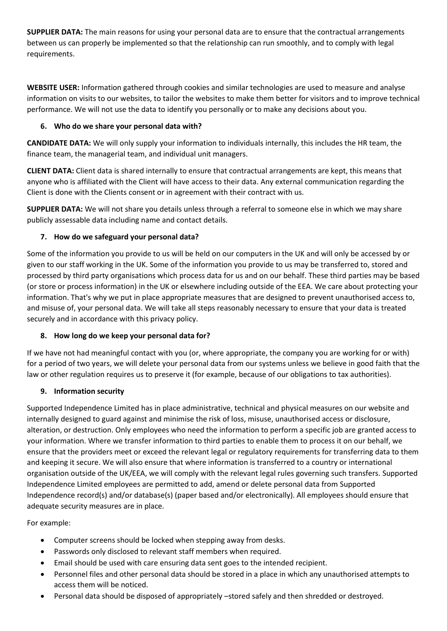**SUPPLIER DATA:** The main reasons for using your personal data are to ensure that the contractual arrangements between us can properly be implemented so that the relationship can run smoothly, and to comply with legal requirements.

**WEBSITE USER:** Information gathered through cookies and similar technologies are used to measure and analyse information on visits to our websites, to tailor the websites to make them better for visitors and to improve technical performance. We will not use the data to identify you personally or to make any decisions about you.

# **6. Who do we share your personal data with?**

**CANDIDATE DATA:** We will only supply your information to individuals internally, this includes the HR team, the finance team, the managerial team, and individual unit managers.

**CLIENT DATA:** Client data is shared internally to ensure that contractual arrangements are kept, this means that anyone who is affiliated with the Client will have access to their data. Any external communication regarding the Client is done with the Clients consent or in agreement with their contract with us.

**SUPPLIER DATA:** We will not share you details unless through a referral to someone else in which we may share publicly assessable data including name and contact details.

# **7. How do we safeguard your personal data?**

Some of the information you provide to us will be held on our computers in the UK and will only be accessed by or given to our staff working in the UK. Some of the information you provide to us may be transferred to, stored and processed by third party organisations which process data for us and on our behalf. These third parties may be based (or store or process information) in the UK or elsewhere including outside of the EEA. We care about protecting your information. That's why we put in place appropriate measures that are designed to prevent unauthorised access to, and misuse of, your personal data. We will take all steps reasonably necessary to ensure that your data is treated securely and in accordance with this privacy policy.

## **8. How long do we keep your personal data for?**

If we have not had meaningful contact with you (or, where appropriate, the company you are working for or with) for a period of two years, we will delete your personal data from our systems unless we believe in good faith that the law or other regulation requires us to preserve it (for example, because of our obligations to tax authorities).

## **9. Information security**

Supported Independence Limited has in place administrative, technical and physical measures on our website and internally designed to guard against and minimise the risk of loss, misuse, unauthorised access or disclosure, alteration, or destruction. Only employees who need the information to perform a specific job are granted access to your information. Where we transfer information to third parties to enable them to process it on our behalf, we ensure that the providers meet or exceed the relevant legal or regulatory requirements for transferring data to them and keeping it secure. We will also ensure that where information is transferred to a country or international organisation outside of the UK/EEA, we will comply with the relevant legal rules governing such transfers. Supported Independence Limited employees are permitted to add, amend or delete personal data from Supported Independence record(s) and/or database(s) (paper based and/or electronically). All employees should ensure that adequate security measures are in place.

For example:

- Computer screens should be locked when stepping away from desks.
- Passwords only disclosed to relevant staff members when required.
- Email should be used with care ensuring data sent goes to the intended recipient.
- Personnel files and other personal data should be stored in a place in which any unauthorised attempts to access them will be noticed.
- Personal data should be disposed of appropriately –stored safely and then shredded or destroyed.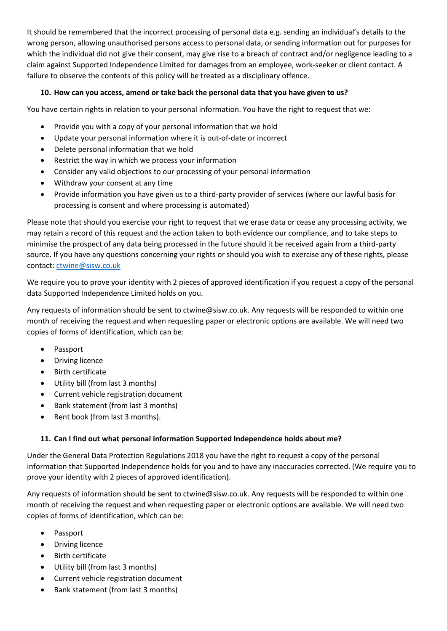It should be remembered that the incorrect processing of personal data e.g. sending an individual's details to the wrong person, allowing unauthorised persons access to personal data, or sending information out for purposes for which the individual did not give their consent, may give rise to a breach of contract and/or negligence leading to a claim against Supported Independence Limited for damages from an employee, work-seeker or client contact. A failure to observe the contents of this policy will be treated as a disciplinary offence.

## **10. How can you access, amend or take back the personal data that you have given to us?**

You have certain rights in relation to your personal information. You have the right to request that we:

- Provide you with a copy of your personal information that we hold
- Update your personal information where it is out-of-date or incorrect
- Delete personal information that we hold
- Restrict the way in which we process your information
- Consider any valid objections to our processing of your personal information
- Withdraw your consent at any time
- Provide information you have given us to a third-party provider of services (where our lawful basis for processing is consent and where processing is automated)

Please note that should you exercise your right to request that we erase data or cease any processing activity, we may retain a record of this request and the action taken to both evidence our compliance, and to take steps to minimise the prospect of any data being processed in the future should it be received again from a third-party source. If you have any questions concerning your rights or should you wish to exercise any of these rights, please contact: [ctwine@sisw.co.uk](mailto:ctwine@sisw.co.uk)

We require you to prove your identity with 2 pieces of approved identification if you request a copy of the personal data Supported Independence Limited holds on you.

Any requests of information should be sent to ctwine@sisw.co.uk. Any requests will be responded to within one month of receiving the request and when requesting paper or electronic options are available. We will need two copies of forms of identification, which can be:

- Passport
- Driving licence
- Birth certificate
- Utility bill (from last 3 months)
- Current vehicle registration document
- Bank statement (from last 3 months)
- Rent book (from last 3 months).

## **11. Can I find out what personal information Supported Independence holds about me?**

Under the General Data Protection Regulations 2018 you have the right to request a copy of the personal information that Supported Independence holds for you and to have any inaccuracies corrected. (We require you to prove your identity with 2 pieces of approved identification).

Any requests of information should be sent to ctwine@sisw.co.uk. Any requests will be responded to within one month of receiving the request and when requesting paper or electronic options are available. We will need two copies of forms of identification, which can be:

- Passport
- Driving licence
- Birth certificate
- Utility bill (from last 3 months)
- Current vehicle registration document
- Bank statement (from last 3 months)